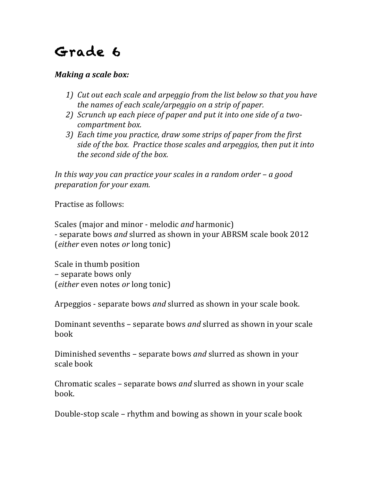## Grade 6

## *Making a scale box:*

- *1)* Cut out each scale and arpeggio from the list below so that you have *the names of each scale/arpeggio on a strip of paper.*
- 2) *Scrunch up each piece of paper and put it into one side of a twocompartment box.*
- *3)* Each time you practice, draw some strips of paper from the first *side of the box. Practice those scales and arpeggios, then put it into the second side of the box.*

*In this* way you can practice your scales in a random order – a good *preparation* for your exam.

Practise as follows:

Scales (major and minor - melodic *and* harmonic) - separate bows *and* slurred as shown in your ABRSM scale book 2012 (*either* even notes *or* long tonic)

Scale in thumb position – separate bows only (*either* even notes *or* long tonic)

Arpeggios - separate bows *and* slurred as shown in your scale book.

Dominant sevenths – separate bows *and* slurred as shown in your scale book

Diminished sevenths – separate bows *and* slurred as shown in your scale book

Chromatic scales – separate bows *and* slurred as shown in your scale book.

Double-stop scale – rhythm and bowing as shown in your scale book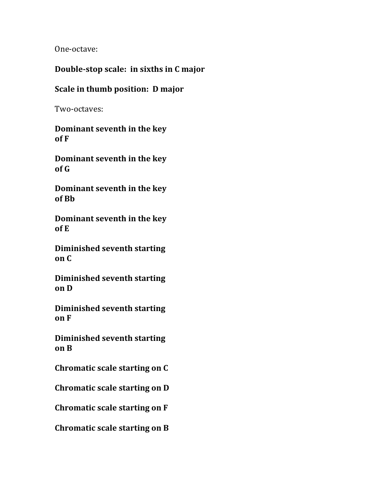One-octave:

## **Double-stop scale: in sixths in C major**

## **Scale in thumb position: D major**

Two-octaves:

**Dominant seventh in the key of F**

**Dominant seventh in the key of G**

**Dominant seventh in the key of Bb**

**Dominant seventh in the key**  $of E$ 

**Diminished seventh starting on C**

**Diminished seventh starting on D**

**Diminished seventh starting on F**

**Diminished seventh starting on B**

**Chromatic scale starting on C** 

**Chromatic scale starting on D** 

**Chromatic scale starting on F** 

**Chromatic scale starting on B**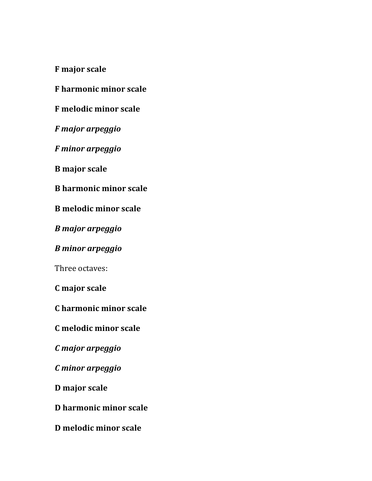**F** major scale

**F** harmonic minor scale

**F** melodic minor scale

*F major arpeggio*

*F minor arpeggio*

**B** major scale

**B** harmonic minor scale

**B** melodic minor scale

*B major arpeggio*

*B minor arpeggio*

Three octaves:

**C major scale**

**C harmonic minor scale**

**C melodic minor scale**

*C major arpeggio*

*C minor arpeggio*

**D major scale**

**D harmonic minor scale**

**D melodic minor scale**